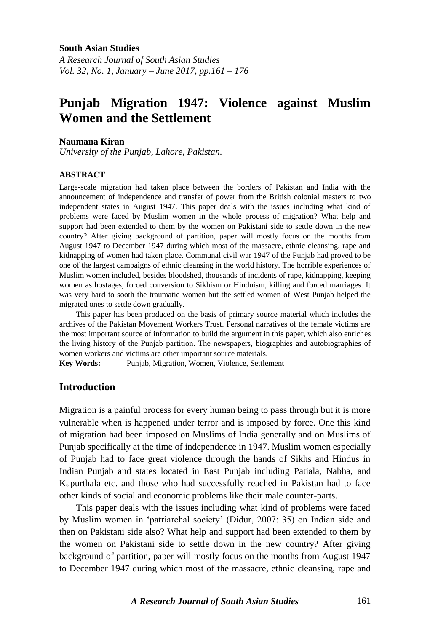#### **South Asian Studies**

*A Research Journal of South Asian Studies Vol. 32, No. 1, January – June 2017, pp.161 – 176*

# **Punjab Migration 1947: Violence against Muslim Women and the Settlement**

#### **Naumana Kiran**

*University of the Punjab, Lahore, Pakistan.*

#### **ABSTRACT**

Large-scale migration had taken place between the borders of Pakistan and India with the announcement of independence and transfer of power from the British colonial masters to two independent states in August 1947. This paper deals with the issues including what kind of problems were faced by Muslim women in the whole process of migration? What help and support had been extended to them by the women on Pakistani side to settle down in the new country? After giving background of partition, paper will mostly focus on the months from August 1947 to December 1947 during which most of the massacre, ethnic cleansing, rape and kidnapping of women had taken place. Communal civil war 1947 of the Punjab had proved to be one of the largest campaigns of ethnic cleansing in the world history. The horrible experiences of Muslim women included, besides bloodshed, thousands of incidents of rape, kidnapping, keeping women as hostages, forced conversion to Sikhism or Hinduism, killing and forced marriages. It was very hard to sooth the traumatic women but the settled women of West Punjab helped the migrated ones to settle down gradually.

This paper has been produced on the basis of primary source material which includes the archives of the Pakistan Movement Workers Trust. Personal narratives of the female victims are the most important source of information to build the argument in this paper, which also enriches the living history of the Punjab partition. The newspapers, biographies and autobiographies of women workers and victims are other important source materials.

**Key Words:** Punjab, Migration, Women, Violence, Settlement

## **Introduction**

Migration is a painful process for every human being to pass through but it is more vulnerable when is happened under terror and is imposed by force. One this kind of migration had been imposed on Muslims of India generally and on Muslims of Punjab specifically at the time of independence in 1947. Muslim women especially of Punjab had to face great violence through the hands of Sikhs and Hindus in Indian Punjab and states located in East Punjab including Patiala, Nabha, and Kapurthala etc. and those who had successfully reached in Pakistan had to face other kinds of social and economic problems like their male counter-parts.

This paper deals with the issues including what kind of problems were faced by Muslim women in "patriarchal society" (Didur, 2007: 35) on Indian side and then on Pakistani side also? What help and support had been extended to them by the women on Pakistani side to settle down in the new country? After giving background of partition, paper will mostly focus on the months from August 1947 to December 1947 during which most of the massacre, ethnic cleansing, rape and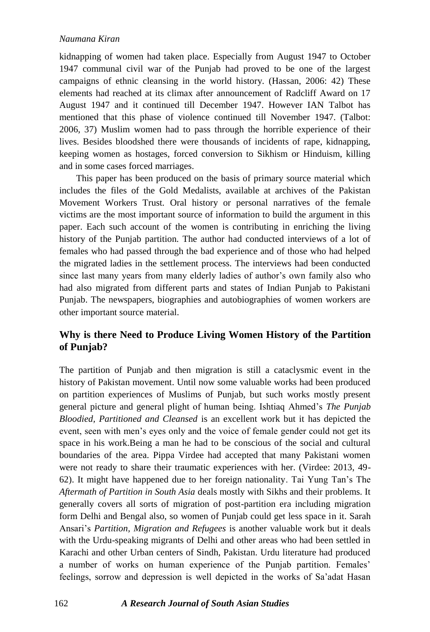kidnapping of women had taken place. Especially from August 1947 to October 1947 communal civil war of the Punjab had proved to be one of the largest campaigns of ethnic cleansing in the world history. (Hassan, 2006: 42) These elements had reached at its climax after announcement of Radcliff Award on 17 August 1947 and it continued till December 1947. However IAN Talbot has mentioned that this phase of violence continued till November 1947. (Talbot: 2006, 37) Muslim women had to pass through the horrible experience of their lives. Besides bloodshed there were thousands of incidents of rape, kidnapping, keeping women as hostages, forced conversion to Sikhism or Hinduism, killing and in some cases forced marriages.

This paper has been produced on the basis of primary source material which includes the files of the Gold Medalists, available at archives of the Pakistan Movement Workers Trust. Oral history or personal narratives of the female victims are the most important source of information to build the argument in this paper. Each such account of the women is contributing in enriching the living history of the Punjab partition. The author had conducted interviews of a lot of females who had passed through the bad experience and of those who had helped the migrated ladies in the settlement process. The interviews had been conducted since last many years from many elderly ladies of author's own family also who had also migrated from different parts and states of Indian Punjab to Pakistani Punjab. The newspapers, biographies and autobiographies of women workers are other important source material.

## **Why is there Need to Produce Living Women History of the Partition of Punjab?**

The partition of Punjab and then migration is still a cataclysmic event in the history of Pakistan movement. Until now some valuable works had been produced on partition experiences of Muslims of Punjab, but such works mostly present general picture and general plight of human being. Ishtiaq Ahmed"s *The Punjab Bloodied, Partitioned and Cleansed* is an excellent work but it has depicted the event, seen with men"s eyes only and the voice of female gender could not get its space in his work.Being a man he had to be conscious of the social and cultural boundaries of the area. Pippa Virdee had accepted that many Pakistani women were not ready to share their traumatic experiences with her. (Virdee: 2013, 49- 62). It might have happened due to her foreign nationality. Tai Yung Tan"s The *Aftermath of Partition in South Asia* deals mostly with Sikhs and their problems. It generally covers all sorts of migration of post-partition era including migration form Delhi and Bengal also, so women of Punjab could get less space in it. Sarah Ansari"s *Partition, Migration and Refugees* is another valuable work but it deals with the Urdu-speaking migrants of Delhi and other areas who had been settled in Karachi and other Urban centers of Sindh, Pakistan. Urdu literature had produced a number of works on human experience of the Punjab partition. Females" feelings, sorrow and depression is well depicted in the works of Sa"adat Hasan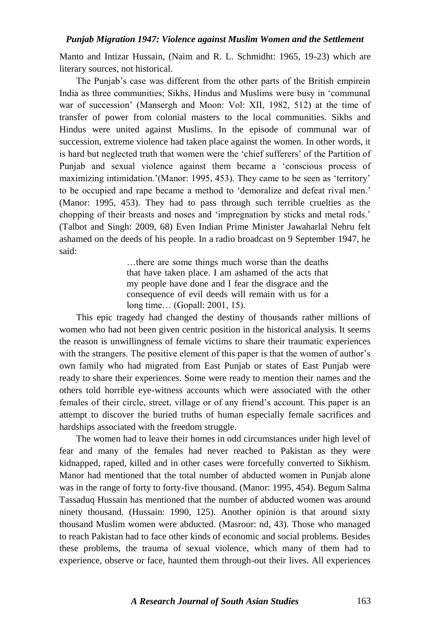Manto and Intizar Hussain, (Naim and R. L. Schmidht: 1965, 19-23) which are literary sources, not historical.

The Punjab's case was different from the other parts of the British empirein India as three communities; Sikhs, Hindus and Muslims were busy in "communal war of succession" (Mansergh and Moon: Vol: XII, 1982, 512) at the time of transfer of power from colonial masters to the local communities. Sikhs and Hindus were united against Muslims. In the episode of communal war of succession, extreme violence had taken place against the women. In other words, it is hard but neglected truth that women were the "chief sufferers" of the Partition of Punjab and sexual violence against them became a "conscious process of maximizing intimidation."(Manor: 1995, 453). They came to be seen as "territory" to be occupied and rape became a method to "demoralize and defeat rival men." (Manor: 1995, 453). They had to pass through such terrible cruelties as the chopping of their breasts and noses and 'impregnation by sticks and metal rods.' (Talbot and Singh: 2009, 68) Even Indian Prime Minister Jawaharlal Nehru felt ashamed on the deeds of his people. In a radio broadcast on 9 September 1947, he said:

> …there are some things much worse than the deaths that have taken place. I am ashamed of the acts that my people have done and I fear the disgrace and the consequence of evil deeds will remain with us for a long time… (Gopall: 2001, 15).

This epic tragedy had changed the destiny of thousands rather millions of women who had not been given centric position in the historical analysis. It seems the reason is unwillingness of female victims to share their traumatic experiences with the strangers. The positive element of this paper is that the women of author's own family who had migrated from East Punjab or states of East Punjab were ready to share their experiences. Some were ready to mention their names and the others told horrible eye-witness accounts which were associated with the other females of their circle, street, village or of any friend"s account. This paper is an attempt to discover the buried truths of human especially female sacrifices and hardships associated with the freedom struggle.

The women had to leave their homes in odd circumstances under high level of fear and many of the females had never reached to Pakistan as they were kidnapped, raped, killed and in other cases were forcefully converted to Sikhism. Manor had mentioned that the total number of abducted women in Punjab alone was in the range of forty to forty-five thousand. (Manor: 1995, 454). Begum Salma Tassaduq Hussain has mentioned that the number of abducted women was around ninety thousand. (Hussain: 1990, 125). Another opinion is that around sixty thousand Muslim women were abducted. (Masroor: nd, 43). Those who managed to reach Pakistan had to face other kinds of economic and social problems. Besides these problems, the trauma of sexual violence, which many of them had to experience, observe or face, haunted them through-out their lives. All experiences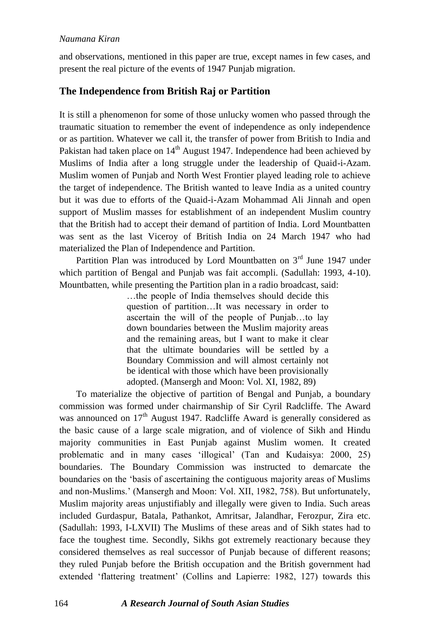and observations, mentioned in this paper are true, except names in few cases, and present the real picture of the events of 1947 Punjab migration.

## **The Independence from British Raj or Partition**

It is still a phenomenon for some of those unlucky women who passed through the traumatic situation to remember the event of independence as only independence or as partition. Whatever we call it, the transfer of power from British to India and Pakistan had taken place on  $14<sup>th</sup>$  August 1947. Independence had been achieved by Muslims of India after a long struggle under the leadership of Quaid-i-Azam. Muslim women of Punjab and North West Frontier played leading role to achieve the target of independence. The British wanted to leave India as a united country but it was due to efforts of the Quaid-i-Azam Mohammad Ali Jinnah and open support of Muslim masses for establishment of an independent Muslim country that the British had to accept their demand of partition of India. Lord Mountbatten was sent as the last Viceroy of British India on 24 March 1947 who had materialized the Plan of Independence and Partition.

Partition Plan was introduced by Lord Mountbatten on 3<sup>rd</sup> June 1947 under which partition of Bengal and Punjab was fait accompli. (Sadullah: 1993, 4-10). Mountbatten, while presenting the Partition plan in a radio broadcast, said:

> …the people of India themselves should decide this question of partition…It was necessary in order to ascertain the will of the people of Punjab…to lay down boundaries between the Muslim majority areas and the remaining areas, but I want to make it clear that the ultimate boundaries will be settled by a Boundary Commission and will almost certainly not be identical with those which have been provisionally adopted. (Mansergh and Moon: Vol. XI, 1982, 89)

To materialize the objective of partition of Bengal and Punjab, a boundary commission was formed under chairmanship of Sir Cyril Radcliffe. The Award was announced on  $17<sup>th</sup>$  August 1947. Radcliffe Award is generally considered as the basic cause of a large scale migration, and of violence of Sikh and Hindu majority communities in East Punjab against Muslim women. It created problematic and in many cases "illogical" (Tan and Kudaisya: 2000, 25) boundaries. The Boundary Commission was instructed to demarcate the boundaries on the "basis of ascertaining the contiguous majority areas of Muslims and non-Muslims." (Mansergh and Moon: Vol. XII, 1982, 758). But unfortunately, Muslim majority areas unjustifiably and illegally were given to India. Such areas included Gurdaspur, Batala, Pathankot, Amritsar, Jalandhar, Ferozpur, Zira etc. (Sadullah: 1993, I-LXVII) The Muslims of these areas and of Sikh states had to face the toughest time. Secondly, Sikhs got extremely reactionary because they considered themselves as real successor of Punjab because of different reasons; they ruled Punjab before the British occupation and the British government had extended 'flattering treatment' (Collins and Lapierre: 1982, 127) towards this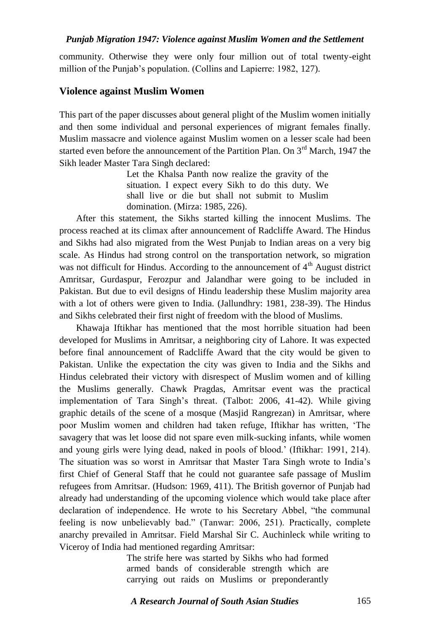community. Otherwise they were only four million out of total twenty-eight million of the Punjab's population. (Collins and Lapierre: 1982, 127).

## **Violence against Muslim Women**

This part of the paper discusses about general plight of the Muslim women initially and then some individual and personal experiences of migrant females finally. Muslim massacre and violence against Muslim women on a lesser scale had been started even before the announcement of the Partition Plan. On 3<sup>rd</sup> March, 1947 the Sikh leader Master Tara Singh declared:

> Let the Khalsa Panth now realize the gravity of the situation. I expect every Sikh to do this duty. We shall live or die but shall not submit to Muslim domination. (Mirza: 1985, 226).

After this statement, the Sikhs started killing the innocent Muslims. The process reached at its climax after announcement of Radcliffe Award. The Hindus and Sikhs had also migrated from the West Punjab to Indian areas on a very big scale. As Hindus had strong control on the transportation network, so migration was not difficult for Hindus. According to the announcement of  $4<sup>th</sup>$  August district Amritsar, Gurdaspur, Ferozpur and Jalandhar were going to be included in Pakistan. But due to evil designs of Hindu leadership these Muslim majority area with a lot of others were given to India. (Jallundhry: 1981, 238-39). The Hindus and Sikhs celebrated their first night of freedom with the blood of Muslims.

Khawaja Iftikhar has mentioned that the most horrible situation had been developed for Muslims in Amritsar, a neighboring city of Lahore. It was expected before final announcement of Radcliffe Award that the city would be given to Pakistan. Unlike the expectation the city was given to India and the Sikhs and Hindus celebrated their victory with disrespect of Muslim women and of killing the Muslims generally. Chawk Pragdas, Amritsar event was the practical implementation of Tara Singh's threat. (Talbot: 2006, 41-42). While giving graphic details of the scene of a mosque (Masjid Rangrezan) in Amritsar, where poor Muslim women and children had taken refuge, Iftikhar has written, "The savagery that was let loose did not spare even milk-sucking infants, while women and young girls were lying dead, naked in pools of blood." (Iftikhar: 1991, 214). The situation was so worst in Amritsar that Master Tara Singh wrote to India"s first Chief of General Staff that he could not guarantee safe passage of Muslim refugees from Amritsar. (Hudson: 1969, 411). The British governor of Punjab had already had understanding of the upcoming violence which would take place after declaration of independence. He wrote to his Secretary Abbel, "the communal feeling is now unbelievably bad." (Tanwar: 2006, 251). Practically, complete anarchy prevailed in Amritsar. Field Marshal Sir C. Auchinleck while writing to Viceroy of India had mentioned regarding Amritsar:

> The strife here was started by Sikhs who had formed armed bands of considerable strength which are carrying out raids on Muslims or preponderantly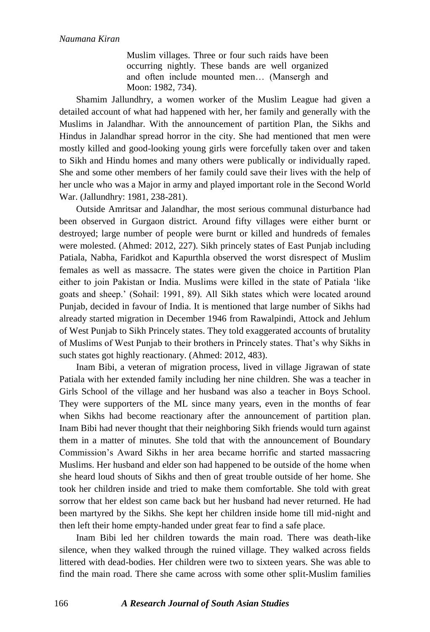Muslim villages. Three or four such raids have been occurring nightly. These bands are well organized and often include mounted men… (Mansergh and Moon: 1982, 734).

Shamim Jallundhry, a women worker of the Muslim League had given a detailed account of what had happened with her, her family and generally with the Muslims in Jalandhar. With the announcement of partition Plan, the Sikhs and Hindus in Jalandhar spread horror in the city. She had mentioned that men were mostly killed and good-looking young girls were forcefully taken over and taken to Sikh and Hindu homes and many others were publically or individually raped. She and some other members of her family could save their lives with the help of her uncle who was a Major in army and played important role in the Second World War. (Jallundhry: 1981, 238-281).

Outside Amritsar and Jalandhar, the most serious communal disturbance had been observed in Gurgaon district. Around fifty villages were either burnt or destroyed; large number of people were burnt or killed and hundreds of females were molested. (Ahmed: 2012, 227). Sikh princely states of East Punjab including Patiala, Nabha, Faridkot and Kapurthla observed the worst disrespect of Muslim females as well as massacre. The states were given the choice in Partition Plan either to join Pakistan or India. Muslims were killed in the state of Patiala "like goats and sheep." (Sohail: 1991, 89). All Sikh states which were located around Punjab, decided in favour of India. It is mentioned that large number of Sikhs had already started migration in December 1946 from Rawalpindi, Attock and Jehlum of West Punjab to Sikh Princely states. They told exaggerated accounts of brutality of Muslims of West Punjab to their brothers in Princely states. That"s why Sikhs in such states got highly reactionary. (Ahmed: 2012, 483).

Inam Bibi, a veteran of migration process, lived in village Jigrawan of state Patiala with her extended family including her nine children. She was a teacher in Girls School of the village and her husband was also a teacher in Boys School. They were supporters of the ML since many years, even in the months of fear when Sikhs had become reactionary after the announcement of partition plan. Inam Bibi had never thought that their neighboring Sikh friends would turn against them in a matter of minutes. She told that with the announcement of Boundary Commission"s Award Sikhs in her area became horrific and started massacring Muslims. Her husband and elder son had happened to be outside of the home when she heard loud shouts of Sikhs and then of great trouble outside of her home. She took her children inside and tried to make them comfortable. She told with great sorrow that her eldest son came back but her husband had never returned. He had been martyred by the Sikhs. She kept her children inside home till mid-night and then left their home empty-handed under great fear to find a safe place.

Inam Bibi led her children towards the main road. There was death-like silence, when they walked through the ruined village. They walked across fields littered with dead-bodies. Her children were two to sixteen years. She was able to find the main road. There she came across with some other split-Muslim families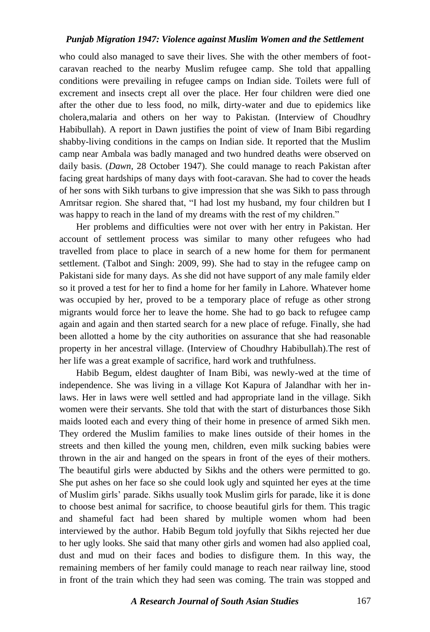who could also managed to save their lives. She with the other members of footcaravan reached to the nearby Muslim refugee camp. She told that appalling conditions were prevailing in refugee camps on Indian side. Toilets were full of excrement and insects crept all over the place. Her four children were died one after the other due to less food, no milk, dirty-water and due to epidemics like cholera,malaria and others on her way to Pakistan. (Interview of Choudhry Habibullah). A report in Dawn justifies the point of view of Inam Bibi regarding shabby-living conditions in the camps on Indian side. It reported that the Muslim camp near Ambala was badly managed and two hundred deaths were observed on daily basis. (*Dawn*, 28 October 1947). She could manage to reach Pakistan after facing great hardships of many days with foot-caravan. She had to cover the heads of her sons with Sikh turbans to give impression that she was Sikh to pass through Amritsar region. She shared that, "I had lost my husband, my four children but I was happy to reach in the land of my dreams with the rest of my children."

Her problems and difficulties were not over with her entry in Pakistan. Her account of settlement process was similar to many other refugees who had travelled from place to place in search of a new home for them for permanent settlement. (Talbot and Singh: 2009, 99). She had to stay in the refugee camp on Pakistani side for many days. As she did not have support of any male family elder so it proved a test for her to find a home for her family in Lahore. Whatever home was occupied by her, proved to be a temporary place of refuge as other strong migrants would force her to leave the home. She had to go back to refugee camp again and again and then started search for a new place of refuge. Finally, she had been allotted a home by the city authorities on assurance that she had reasonable property in her ancestral village. (Interview of Choudhry Habibullah).The rest of her life was a great example of sacrifice, hard work and truthfulness.

Habib Begum, eldest daughter of Inam Bibi, was newly-wed at the time of independence. She was living in a village Kot Kapura of Jalandhar with her inlaws. Her in laws were well settled and had appropriate land in the village. Sikh women were their servants. She told that with the start of disturbances those Sikh maids looted each and every thing of their home in presence of armed Sikh men. They ordered the Muslim families to make lines outside of their homes in the streets and then killed the young men, children, even milk sucking babies were thrown in the air and hanged on the spears in front of the eyes of their mothers. The beautiful girls were abducted by Sikhs and the others were permitted to go. She put ashes on her face so she could look ugly and squinted her eyes at the time of Muslim girls" parade. Sikhs usually took Muslim girls for parade, like it is done to choose best animal for sacrifice, to choose beautiful girls for them. This tragic and shameful fact had been shared by multiple women whom had been interviewed by the author. Habib Begum told joyfully that Sikhs rejected her due to her ugly looks. She said that many other girls and women had also applied coal, dust and mud on their faces and bodies to disfigure them. In this way, the remaining members of her family could manage to reach near railway line, stood in front of the train which they had seen was coming. The train was stopped and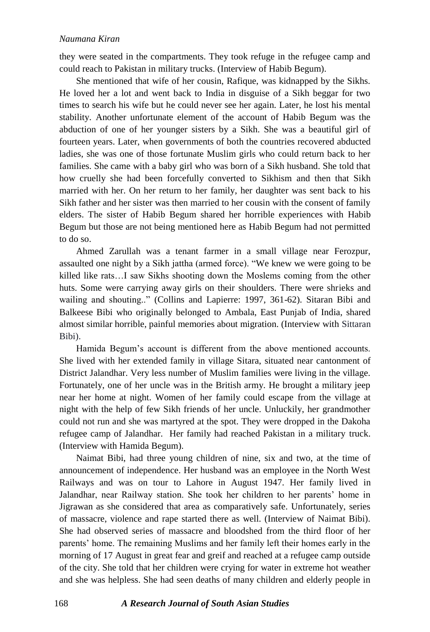they were seated in the compartments. They took refuge in the refugee camp and could reach to Pakistan in military trucks. (Interview of Habib Begum).

She mentioned that wife of her cousin, Rafique, was kidnapped by the Sikhs. He loved her a lot and went back to India in disguise of a Sikh beggar for two times to search his wife but he could never see her again. Later, he lost his mental stability. Another unfortunate element of the account of Habib Begum was the abduction of one of her younger sisters by a Sikh. She was a beautiful girl of fourteen years. Later, when governments of both the countries recovered abducted ladies, she was one of those fortunate Muslim girls who could return back to her families. She came with a baby girl who was born of a Sikh husband. She told that how cruelly she had been forcefully converted to Sikhism and then that Sikh married with her. On her return to her family, her daughter was sent back to his Sikh father and her sister was then married to her cousin with the consent of family elders. The sister of Habib Begum shared her horrible experiences with Habib Begum but those are not being mentioned here as Habib Begum had not permitted to do so.

Ahmed Zarullah was a tenant farmer in a small village near Ferozpur, assaulted one night by a Sikh jattha (armed force). "We knew we were going to be killed like rats…I saw Sikhs shooting down the Moslems coming from the other huts. Some were carrying away girls on their shoulders. There were shrieks and wailing and shouting.." (Collins and Lapierre: 1997, 361-62). Sitaran Bibi and Balkeese Bibi who originally belonged to Ambala, East Punjab of India, shared almost similar horrible, painful memories about migration. (Interview with Sittaran Bibi).

Hamida Begum's account is different from the above mentioned accounts. She lived with her extended family in village Sitara, situated near cantonment of District Jalandhar. Very less number of Muslim families were living in the village. Fortunately, one of her uncle was in the British army. He brought a military jeep near her home at night. Women of her family could escape from the village at night with the help of few Sikh friends of her uncle. Unluckily, her grandmother could not run and she was martyred at the spot. They were dropped in the Dakoha refugee camp of Jalandhar. Her family had reached Pakistan in a military truck. (Interview with Hamida Begum).

Naimat Bibi, had three young children of nine, six and two, at the time of announcement of independence. Her husband was an employee in the North West Railways and was on tour to Lahore in August 1947. Her family lived in Jalandhar, near Railway station. She took her children to her parents" home in Jigrawan as she considered that area as comparatively safe. Unfortunately, series of massacre, violence and rape started there as well. (Interview of Naimat Bibi). She had observed series of massacre and bloodshed from the third floor of her parents" home. The remaining Muslims and her family left their homes early in the morning of 17 August in great fear and greif and reached at a refugee camp outside of the city. She told that her children were crying for water in extreme hot weather and she was helpless. She had seen deaths of many children and elderly people in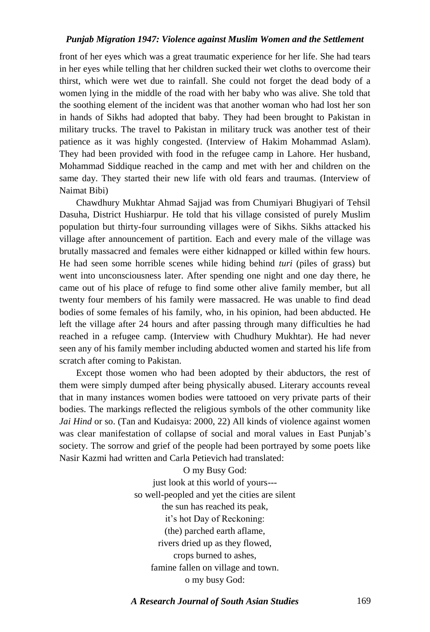front of her eyes which was a great traumatic experience for her life. She had tears in her eyes while telling that her children sucked their wet cloths to overcome their thirst, which were wet due to rainfall. She could not forget the dead body of a women lying in the middle of the road with her baby who was alive. She told that the soothing element of the incident was that another woman who had lost her son in hands of Sikhs had adopted that baby. They had been brought to Pakistan in military trucks. The travel to Pakistan in military truck was another test of their patience as it was highly congested. (Interview of Hakim Mohammad Aslam). They had been provided with food in the refugee camp in Lahore. Her husband, Mohammad Siddique reached in the camp and met with her and children on the same day. They started their new life with old fears and traumas. (Interview of Naimat Bibi)

Chawdhury Mukhtar Ahmad Sajjad was from Chumiyari Bhugiyari of Tehsil Dasuha, District Hushiarpur. He told that his village consisted of purely Muslim population but thirty-four surrounding villages were of Sikhs. Sikhs attacked his village after announcement of partition. Each and every male of the village was brutally massacred and females were either kidnapped or killed within few hours. He had seen some horrible scenes while hiding behind *turi* (piles of grass) but went into unconsciousness later. After spending one night and one day there, he came out of his place of refuge to find some other alive family member, but all twenty four members of his family were massacred. He was unable to find dead bodies of some females of his family, who, in his opinion, had been abducted. He left the village after 24 hours and after passing through many difficulties he had reached in a refugee camp. (Interview with Chudhury Mukhtar). He had never seen any of his family member including abducted women and started his life from scratch after coming to Pakistan.

Except those women who had been adopted by their abductors, the rest of them were simply dumped after being physically abused. Literary accounts reveal that in many instances women bodies were tattooed on very private parts of their bodies. The markings reflected the religious symbols of the other community like *Jai Hind* or so. (Tan and Kudaisya: 2000, 22) All kinds of violence against women was clear manifestation of collapse of social and moral values in East Punjab"s society. The sorrow and grief of the people had been portrayed by some poets like Nasir Kazmi had written and Carla Petievich had translated:

> O my Busy God: just look at this world of yours-- so well-peopled and yet the cities are silent the sun has reached its peak, it"s hot Day of Reckoning: (the) parched earth aflame, rivers dried up as they flowed, crops burned to ashes, famine fallen on village and town. o my busy God:

*A Research Journal of South Asian Studies* 169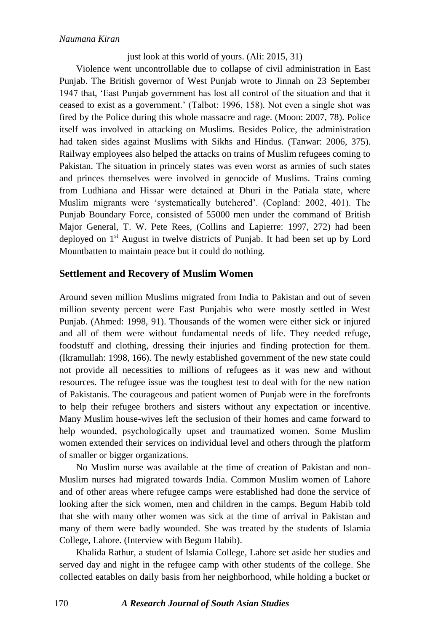#### just look at this world of yours. (Ali: 2015, 31)

Violence went uncontrollable due to collapse of civil administration in East Punjab. The British governor of West Punjab wrote to Jinnah on 23 September 1947 that, "East Punjab government has lost all control of the situation and that it ceased to exist as a government." (Talbot: 1996, 158). Not even a single shot was fired by the Police during this whole massacre and rage. (Moon: 2007, 78). Police itself was involved in attacking on Muslims. Besides Police, the administration had taken sides against Muslims with Sikhs and Hindus. (Tanwar: 2006, 375). Railway employees also helped the attacks on trains of Muslim refugees coming to Pakistan. The situation in princely states was even worst as armies of such states and princes themselves were involved in genocide of Muslims. Trains coming from Ludhiana and Hissar were detained at Dhuri in the Patiala state, where Muslim migrants were 'systematically butchered'. (Copland: 2002, 401). The Punjab Boundary Force, consisted of 55000 men under the command of British Major General, T. W. Pete Rees, (Collins and Lapierre: 1997, 272) had been deployed on  $1<sup>st</sup>$  August in twelve districts of Punjab. It had been set up by Lord Mountbatten to maintain peace but it could do nothing.

## **Settlement and Recovery of Muslim Women**

Around seven million Muslims migrated from India to Pakistan and out of seven million seventy percent were East Punjabis who were mostly settled in West Punjab. (Ahmed: 1998, 91). Thousands of the women were either sick or injured and all of them were without fundamental needs of life. They needed refuge, foodstuff and clothing, dressing their injuries and finding protection for them. (Ikramullah: 1998, 166). The newly established government of the new state could not provide all necessities to millions of refugees as it was new and without resources. The refugee issue was the toughest test to deal with for the new nation of Pakistanis. The courageous and patient women of Punjab were in the forefronts to help their refugee brothers and sisters without any expectation or incentive. Many Muslim house-wives left the seclusion of their homes and came forward to help wounded, psychologically upset and traumatized women. Some Muslim women extended their services on individual level and others through the platform of smaller or bigger organizations.

No Muslim nurse was available at the time of creation of Pakistan and non-Muslim nurses had migrated towards India. Common Muslim women of Lahore and of other areas where refugee camps were established had done the service of looking after the sick women, men and children in the camps. Begum Habib told that she with many other women was sick at the time of arrival in Pakistan and many of them were badly wounded. She was treated by the students of Islamia College, Lahore. (Interview with Begum Habib).

Khalida Rathur, a student of Islamia College, Lahore set aside her studies and served day and night in the refugee camp with other students of the college. She collected eatables on daily basis from her neighborhood, while holding a bucket or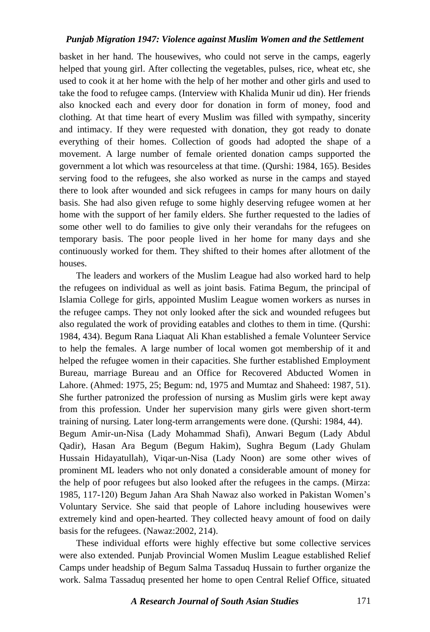basket in her hand. The housewives, who could not serve in the camps, eagerly helped that young girl. After collecting the vegetables, pulses, rice, wheat etc, she used to cook it at her home with the help of her mother and other girls and used to take the food to refugee camps. (Interview with Khalida Munir ud din). Her friends also knocked each and every door for donation in form of money, food and clothing. At that time heart of every Muslim was filled with sympathy, sincerity and intimacy. If they were requested with donation, they got ready to donate everything of their homes. Collection of goods had adopted the shape of a movement. A large number of female oriented donation camps supported the government a lot which was resourceless at that time. (Qurshi: 1984, 165). Besides serving food to the refugees, she also worked as nurse in the camps and stayed there to look after wounded and sick refugees in camps for many hours on daily basis. She had also given refuge to some highly deserving refugee women at her home with the support of her family elders. She further requested to the ladies of some other well to do families to give only their verandahs for the refugees on temporary basis. The poor people lived in her home for many days and she continuously worked for them. They shifted to their homes after allotment of the houses.

The leaders and workers of the Muslim League had also worked hard to help the refugees on individual as well as joint basis. Fatima Begum, the principal of Islamia College for girls, appointed Muslim League women workers as nurses in the refugee camps. They not only looked after the sick and wounded refugees but also regulated the work of providing eatables and clothes to them in time. (Qurshi: 1984, 434). Begum Rana Liaquat Ali Khan established a female Volunteer Service to help the females. A large number of local women got membership of it and helped the refugee women in their capacities. She further established Employment Bureau, marriage Bureau and an Office for Recovered Abducted Women in Lahore. (Ahmed: 1975, 25; Begum: nd, 1975 and Mumtaz and Shaheed: 1987, 51). She further patronized the profession of nursing as Muslim girls were kept away from this profession. Under her supervision many girls were given short-term training of nursing. Later long-term arrangements were done. (Qurshi: 1984, 44). Begum Amir-un-Nisa (Lady Mohammad Shafi), Anwari Begum (Lady Abdul Qadir), Hasan Ara Begum (Begum Hakim), Sughra Begum (Lady Ghulam Hussain Hidayatullah), Viqar-un-Nisa (Lady Noon) are some other wives of prominent ML leaders who not only donated a considerable amount of money for the help of poor refugees but also looked after the refugees in the camps. (Mirza: 1985, 117-120) Begum Jahan Ara Shah Nawaz also worked in Pakistan Women"s Voluntary Service. She said that people of Lahore including housewives were extremely kind and open-hearted. They collected heavy amount of food on daily basis for the refugees. (Nawaz:2002, 214).

These individual efforts were highly effective but some collective services were also extended. Punjab Provincial Women Muslim League established Relief Camps under headship of Begum Salma Tassaduq Hussain to further organize the work. Salma Tassaduq presented her home to open Central Relief Office, situated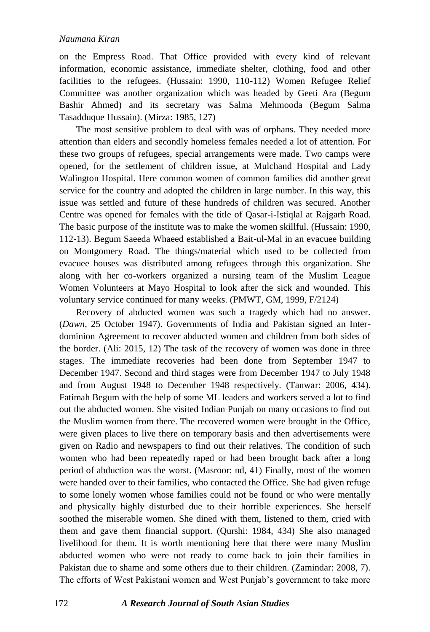on the Empress Road. That Office provided with every kind of relevant information, economic assistance, immediate shelter, clothing, food and other facilities to the refugees. (Hussain: 1990, 110-112) Women Refugee Relief Committee was another organization which was headed by Geeti Ara (Begum Bashir Ahmed) and its secretary was Salma Mehmooda (Begum Salma Tasadduque Hussain). (Mirza: 1985, 127)

The most sensitive problem to deal with was of orphans. They needed more attention than elders and secondly homeless females needed a lot of attention. For these two groups of refugees, special arrangements were made. Two camps were opened, for the settlement of children issue, at Mulchand Hospital and Lady Walington Hospital. Here common women of common families did another great service for the country and adopted the children in large number. In this way, this issue was settled and future of these hundreds of children was secured. Another Centre was opened for females with the title of Qasar-i-Istiqlal at Rajgarh Road. The basic purpose of the institute was to make the women skillful. (Hussain: 1990, 112-13). Begum Saeeda Whaeed established a Bait-ul-Mal in an evacuee building on Montgomery Road. The things/material which used to be collected from evacuee houses was distributed among refugees through this organization. She along with her co-workers organized a nursing team of the Muslim League Women Volunteers at Mayo Hospital to look after the sick and wounded. This voluntary service continued for many weeks. (PMWT, GM, 1999, F/2124)

Recovery of abducted women was such a tragedy which had no answer. (*Dawn*, 25 October 1947). Governments of India and Pakistan signed an Interdominion Agreement to recover abducted women and children from both sides of the border. (Ali: 2015, 12) The task of the recovery of women was done in three stages. The immediate recoveries had been done from September 1947 to December 1947. Second and third stages were from December 1947 to July 1948 and from August 1948 to December 1948 respectively. (Tanwar: 2006, 434). Fatimah Begum with the help of some ML leaders and workers served a lot to find out the abducted women. She visited Indian Punjab on many occasions to find out the Muslim women from there. The recovered women were brought in the Office, were given places to live there on temporary basis and then advertisements were given on Radio and newspapers to find out their relatives. The condition of such women who had been repeatedly raped or had been brought back after a long period of abduction was the worst. (Masroor: nd, 41) Finally, most of the women were handed over to their families, who contacted the Office. She had given refuge to some lonely women whose families could not be found or who were mentally and physically highly disturbed due to their horrible experiences. She herself soothed the miserable women. She dined with them, listened to them, cried with them and gave them financial support. (Qurshi: 1984, 434) She also managed livelihood for them. It is worth mentioning here that there were many Muslim abducted women who were not ready to come back to join their families in Pakistan due to shame and some others due to their children. (Zamindar: 2008, 7). The efforts of West Pakistani women and West Punjab"s government to take more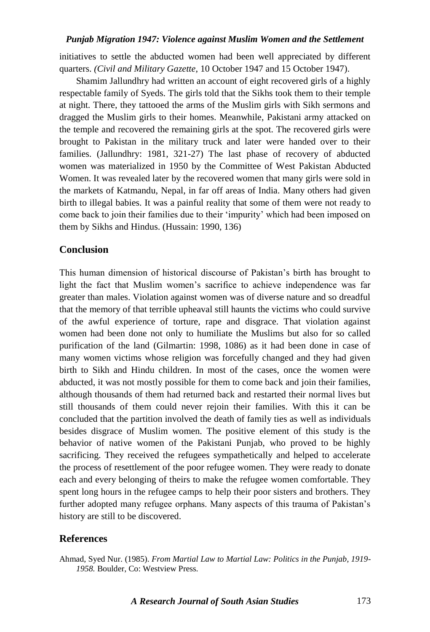initiatives to settle the abducted women had been well appreciated by different quarters. *(Civil and Military Gazette*, 10 October 1947 and 15 October 1947).

Shamim Jallundhry had written an account of eight recovered girls of a highly respectable family of Syeds. The girls told that the Sikhs took them to their temple at night. There, they tattooed the arms of the Muslim girls with Sikh sermons and dragged the Muslim girls to their homes. Meanwhile, Pakistani army attacked on the temple and recovered the remaining girls at the spot. The recovered girls were brought to Pakistan in the military truck and later were handed over to their families. (Jallundhry: 1981, 321-27) The last phase of recovery of abducted women was materialized in 1950 by the Committee of West Pakistan Abducted Women. It was revealed later by the recovered women that many girls were sold in the markets of Katmandu, Nepal, in far off areas of India. Many others had given birth to illegal babies. It was a painful reality that some of them were not ready to come back to join their families due to their "impurity" which had been imposed on them by Sikhs and Hindus. (Hussain: 1990, 136)

## **Conclusion**

This human dimension of historical discourse of Pakistan"s birth has brought to light the fact that Muslim women"s sacrifice to achieve independence was far greater than males. Violation against women was of diverse nature and so dreadful that the memory of that terrible upheaval still haunts the victims who could survive of the awful experience of torture, rape and disgrace. That violation against women had been done not only to humiliate the Muslims but also for so called purification of the land (Gilmartin: 1998, 1086) as it had been done in case of many women victims whose religion was forcefully changed and they had given birth to Sikh and Hindu children. In most of the cases, once the women were abducted, it was not mostly possible for them to come back and join their families, although thousands of them had returned back and restarted their normal lives but still thousands of them could never rejoin their families. With this it can be concluded that the partition involved the death of family ties as well as individuals besides disgrace of Muslim women. The positive element of this study is the behavior of native women of the Pakistani Punjab, who proved to be highly sacrificing. They received the refugees sympathetically and helped to accelerate the process of resettlement of the poor refugee women. They were ready to donate each and every belonging of theirs to make the refugee women comfortable. They spent long hours in the refugee camps to help their poor sisters and brothers. They further adopted many refugee orphans. Many aspects of this trauma of Pakistan"s history are still to be discovered.

## **References**

Ahmad, Syed Nur. (1985). *From Martial Law to Martial Law: Politics in the Punjab, 1919- 1958.* Boulder, Co: Westview Press.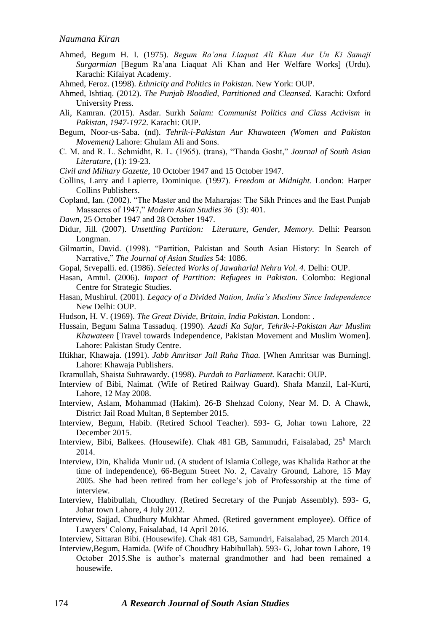- Ahmed, Begum H. I. (1975). *Begum Ra'ana Liaquat Ali Khan Aur Un Ki Samaji Surgarmian* [Begum Ra"ana Liaquat Ali Khan and Her Welfare Works] (Urdu). Karachi: Kifaiyat Academy.
- Ahmed, Feroz. (1998). *Ethnicity and Politics in Pakistan.* New York: OUP.
- Ahmed, Ishtiaq. (2012). *The Punjab Bloodied, Partitioned and Cleansed.* Karachi: Oxford University Press.
- Ali, Kamran. (2015). Asdar. Surkh *Salam: Communist Politics and Class Activism in Pakistan, 1947-1972.* Karachi: OUP.
- Begum, Noor-us-Saba. (nd). *Tehrik-i-Pakistan Aur Khawateen (Women and Pakistan Movement)* Lahore: Ghulam Ali and Sons.
- C. M. and R. L. Schmidht, R. L. (1965). (trans), "Thanda Gosht," *Journal of South Asian Literature*, (1): 19-23.
- *Civil and Military Gazette*, 10 October 1947 and 15 October 1947.
- Collins, Larry and Lapierre, Dominique. (1997). *Freedom at Midnight.* London: Harper Collins Publishers.
- Copland, Ian. (2002). "The Master and the Maharajas: The Sikh Princes and the East Punjab Massacres of 1947," *Modern Asian Studies 36* (3): 401.
- *Dawn*, 25 October 1947 and 28 October 1947.
- Didur, Jill. (2007). *Unsettling Partition: Literature, Gender, Memory.* Delhi: Pearson Longman.
- Gilmartin, David. (1998). "Partition, Pakistan and South Asian History: In Search of Narrative," *The Journal of Asian Studies* 54: 1086.
- Gopal, Srvepalli. ed. (1986). *Selected Works of Jawaharlal Nehru Vol. 4.* Delhi: OUP.
- Hasan, Amtul. (2006). *Impact of Partition: Refugees in Pakistan.* Colombo: Regional Centre for Strategic Studies.
- Hasan, Mushirul. (2001). *Legacy of a Divided Nation, India's Muslims Since Independence* New Delhi: OUP.
- Hudson, H. V. (1969). *The Great Divide, Britain, India Pakistan.* London: .
- Hussain, Begum Salma Tassaduq. (1990). *Azadi Ka Safar, Tehrik-i-Pakistan Aur Muslim Khawateen* [Travel towards Independence, Pakistan Movement and Muslim Women]. Lahore: Pakistan Study Centre.
- Iftikhar, Khawaja. (1991). *Jabb Amritsar Jall Raha Thaa.* [When Amritsar was Burning]. Lahore: Khawaja Publishers.
- Ikramullah, Shaista Suhrawardy. (1998). *Purdah to Parliament.* Karachi: OUP.
- Interview of Bibi, Naimat. (Wife of Retired Railway Guard). Shafa Manzil, Lal-Kurti, Lahore, 12 May 2008.
- Interview, Aslam, Mohammad (Hakim). 26-B Shehzad Colony, Near M. D. A Chawk, District Jail Road Multan, 8 September 2015.
- Interview, Begum, Habib. (Retired School Teacher). 593- G, Johar town Lahore, 22 December 2015.
- Interview, Bibi, Balkees. (Housewife). Chak 481 GB, Sammudri, Faisalabad, 25<sup>h</sup> March 2014.
- Interview, Din, Khalida Munir ud. (A student of Islamia College, was Khalida Rathor at the time of independence), 66-Begum Street No. 2, Cavalry Ground, Lahore, 15 May 2005. She had been retired from her college"s job of Professorship at the time of interview.
- Interview, Habibullah, Choudhry. (Retired Secretary of the Punjab Assembly). 593- G, Johar town Lahore, 4 July 2012.
- Interview, Sajjad, Chudhury Mukhtar Ahmed. (Retired government employee). Office of Lawyers" Colony, Faisalabad, 14 April 2016.
- Interview, Sittaran Bibi. (Housewife). Chak 481 GB, Samundri, Faisalabad, 25 March 2014.
- Interview,Begum, Hamida. (Wife of Choudhry Habibullah). 593- G, Johar town Lahore, 19 October 2015.She is author"s maternal grandmother and had been remained a housewife.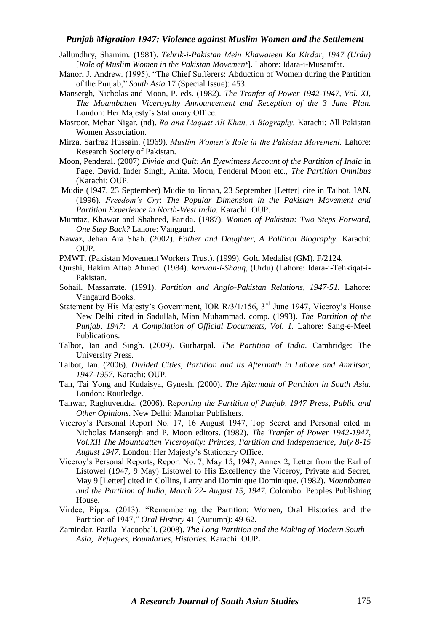- Jallundhry, Shamim. (1981). *Tehrik-i-Pakistan Mein Khawateen Ka Kirdar, 1947 (Urdu)*  [*Role of Muslim Women in the Pakistan Movement*]. Lahore: Idara-i-Musanifat.
- Manor, J. Andrew. (1995). "The Chief Sufferers: Abduction of Women during the Partition of the Punjab," *South Asia* 17 (Special Issue): 453.
- Mansergh, Nicholas and Moon, P. eds. (1982). *The Tranfer of Power 1942-1947, Vol. XI, The Mountbatten Viceroyalty Announcement and Reception of the 3 June Plan.*  London: Her Majesty"s Stationary Office.
- Masroor, Mehar Nigar. (nd). *Ra'ana Liaquat Ali Khan, A Biography.* Karachi: All Pakistan Women Association.
- Mirza, Sarfraz Hussain. (1969). *Muslim Women's Role in the Pakistan Movement.* Lahore: Research Society of Pakistan.
- Moon, Penderal. (2007) *Divide and Quit: An Eyewitness Account of the Partition of India* in Page, David. Inder Singh, Anita. Moon, Penderal Moon etc., *The Partition Omnibus* (Karachi: OUP.
- Mudie (1947, 23 September) Mudie to Jinnah, 23 September [Letter] cite in Talbot, IAN. (1996). *Freedom's Cry*: *The Popular Dimension in the Pakistan Movement and Partition Experience in North-West India.* Karachi: OUP.
- Mumtaz, Khawar and Shaheed, Farida. (1987). *Women of Pakistan: Two Steps Forward, One Step Back?* Lahore: Vangaurd.
- Nawaz, Jehan Ara Shah. (2002). *Father and Daughter, A Political Biography.* Karachi: OUP.
- PMWT. (Pakistan Movement Workers Trust). (1999). Gold Medalist (GM). F/2124.
- Qurshi, Hakim Aftab Ahmed. (1984). *karwan-i-Shauq*, (Urdu) (Lahore: Idara-i-Tehkiqat-i-Pakistan.
- Sohail. Massarrate. (1991). *Partition and Anglo-Pakistan Relations, 1947-51.* Lahore: Vangaurd Books.
- Statement by His Majesty's Government, IOR R/3/1/156, 3<sup>rd</sup> June 1947, Viceroy's House New Delhi cited in Sadullah, Mian Muhammad. comp. (1993). *The Partition of the*  Punjab, 1947: A Compilation of Official Documents, Vol. 1. Lahore: Sang-e-Meel Publications.
- Talbot, Ian and Singh. (2009). Gurharpal. *The Partition of India.* Cambridge: The University Press.
- Talbot, Ian. (2006). *Divided Cities, Partition and its Aftermath in Lahore and Amritsar, 1947-1957.* Karachi: OUP.
- Tan, Tai Yong and Kudaisya, Gynesh. (2000). *The Aftermath of Partition in South Asia.* London: Routledge.
- Tanwar, Raghuvendra. (2006). R*eporting the Partition of Punjab, 1947 Press, Public and Other Opinions.* New Delhi: Manohar Publishers.
- Viceroy"s Personal Report No. 17, 16 August 1947, Top Secret and Personal cited in Nicholas Mansergh and P. Moon editors. (1982). *The Tranfer of Power 1942-1947, Vol.XII The Mountbatten Viceroyalty: Princes, Partition and Independence, July 8-15*  August 1947. London: Her Majesty's Stationary Office.
- Viceroy"s Personal Reports, Report No. 7, May 15, 1947, Annex 2, Letter from the Earl of Listowel (1947, 9 May) Listowel to His Excellency the Viceroy, Private and Secret, May 9 [Letter] cited in Collins, Larry and Dominique Dominique. (1982). *Mountbatten and the Partition of India, March 22- August 15, 1947.* Colombo: Peoples Publishing House.
- Virdee, Pippa. (2013). "Remembering the Partition: Women, Oral Histories and the Partition of 1947," *Oral History* 41 (Autumn): 49-62.
- Zamindar, Fazila\_Yacoobali. (2008). *The Long Partition and the Making of Modern South Asia, Refugees, Boundaries, Histories.* Karachi: OUP**.**